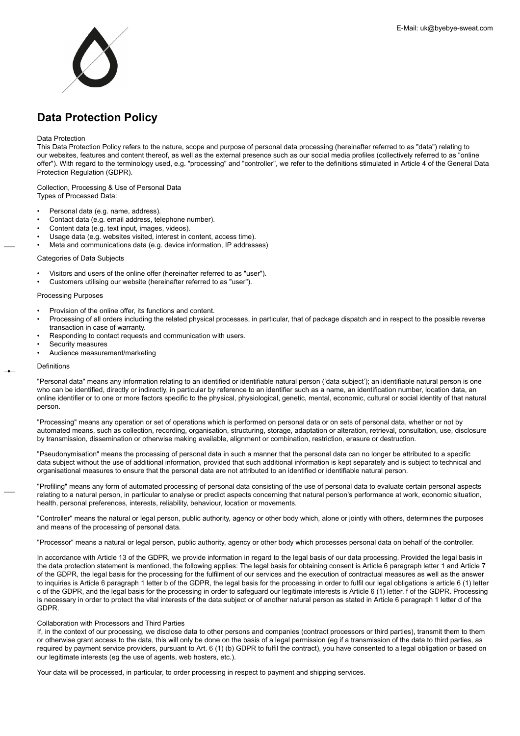<span id="page-0-0"></span>

# **Data Protection Policy**

## Data Protection

This Data Protection Policy refers to the nature, scope and purpose of personal data processing (hereinafter referred to as "data") relating to our websites, features and content thereof, as well as the external presence such as our social media profiles (collectively referred to as "online offer"). With regard to the terminology used, e.g. "processing" and "controller", we refer to the definitions stimulated in Article 4 of the General Data Protection Regulation (GDPR).

Collection, Processing & Use of Personal Data Types of Processed Data:

- Personal data (e.g. name, address).
- Contact data (e.g. email address, telephone number).
- Content data (e.g. text input, images, videos).
- Usage data (e.g. websites visited, interest in content, access time).
- Meta and communications data (e.g. device information, IP addresses)

## Categories of Data Subjects

- Visitors and users of the online offer (hereinafter referred to as "user").
- Customers utilising our website (hereinafter referred to as "user").

# Processing Purposes

- Provision of the online offer, its functions and content.
- Processing of all orders including the related physical processes, in particular, that of package dispatch and in respect to the possible reverse transaction in case of warranty.
- Responding to contact requests and communication with users.
- Security measures
- Audience measurement/marketing

#### Definitions

"Personal data" means any information relating to an identified or identifiable natural person ('data subject'); an identifiable natural person is one who can be identified, directly or indirectly, in particular by reference to an identifier such as a name, an identification number, location data, an online identifier or to one or more factors specific to the physical, physiological, genetic, mental, economic, cultural or social identity of that natural person.

"Processing" means any operation or set of operations which is performed on personal data or on sets of personal data, whether or not by automated means, such as collection, recording, organisation, structuring, storage, adaptation or alteration, retrieval, consultation, use, disclosure by transmission, dissemination or otherwise making available, alignment or combination, restriction, erasure or destruction.

"Pseudonymisation" means the processing of personal data in such a manner that the personal data can no longer be attributed to a specific data subject without the use of additional information, provided that such additional information is kept separately and is subject to technical and organisational measures to ensure that the personal data are not attributed to an identified or identifiable natural person.

"Profiling" means any form of automated processing of personal data consisting of the use of personal data to evaluate certain personal aspects relating to a natural person, in particular to analyse or predict aspects concerning that natural person's performance at work, economic situation, health, personal preferences, interests, reliability, behaviour, location or movements.

"Controller" means the natural or legal person, public authority, agency or other body which, alone or jointly with others, determines the purposes and means of the processing of personal data.

"Processor" means a natural or legal person, public authority, agency or other body which processes personal data on behalf of the controller.

In accordance with Article 13 of the GDPR, we provide information in regard to the legal basis of our data processing. Provided the legal basis in the data protection statement is mentioned, the following applies: The legal basis for obtaining consent is Article 6 paragraph letter 1 and Article 7 of the GDPR, the legal basis for the processing for the fulfilment of our services and the execution of contractual measures as well as the answer to inquiries is Article 6 paragraph 1 letter b of the GDPR, the legal basis for the processing in order to fulfil our legal obligations is article 6 (1) letter c of the GDPR, and the legal basis for the processing in order to safeguard our legitimate interests is Article 6 (1) letter. f of the GDPR. Processing is necessary in order to protect the vital interests of the data subject or of another natural person as stated in Article 6 paragraph 1 letter d of the GDPR.

## Collaboration with Processors and Third Parties

If, in the context of our processing, we disclose data to other persons and companies (contract processors or third parties), transmit them to them or otherwise grant access to the data, this will only be done on the basis of a legal permission (eg if a transmission of the data to third parties, as required by payment service providers, pursuant to Art. 6 (1) (b) GDPR to fulfil the contract), you have consented to a legal obligation or based on our legitimate interests (eg the use of agents, web hosters, etc.).

Your data will be processed, in particular, to order processing in respect to payment and shipping services.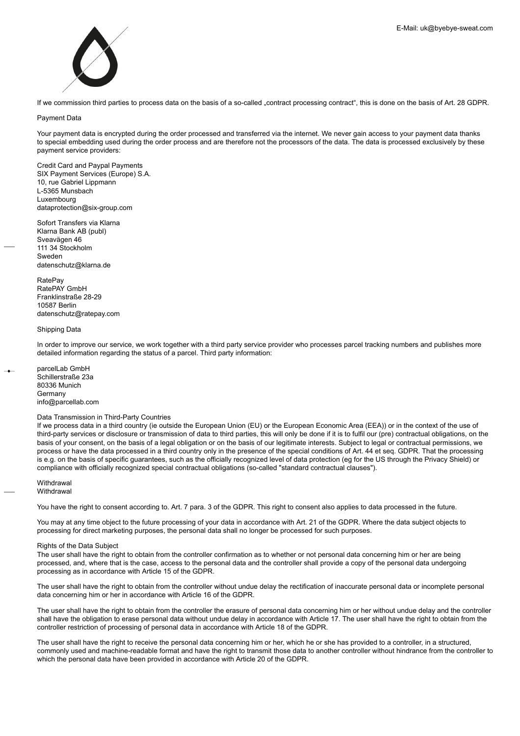

If we commission third parties to process data on the basis of a so-called "contract processing contract", this is done on the basis of Art. 28 GDPR.

## Payment Data

Your payment data is encrypted during the order processed and transferred via the internet. We never gain access to your payment data thanks to special embedding used during the order process and are therefore not the processors of the data. The data is processed exclusively by these payment service providers:

Credit Card and Paypal Payments SIX Payment Services (Europe) S.A. 10, rue Gabriel Lippmann L-5365 Munsbach Luxembourg dataprotection@six-group.com

Sofort Transfers via Klarna Klarna Bank AB (publ) Sveavägen 46 111 34 Stockholm Sweden datenschutz@klarna.de

**RatePay** RatePAY GmbH Franklinstraße 28-29 10587 Berlin datenschutz@ratepay.com

# Shipping Data

In order to improve our service, we work together with a third party service provider who processes parcel tracking numbers and publishes more detailed information regarding the status of a parcel. Third party information:

parcelLab GmbH Schillerstraße 23a 80336 Munich **Germany** info@parcellab.com

# Data Transmission in Third-Party Countries

If we process data in a third country (ie outside the European Union (EU) or the European Economic Area (EEA)) or in the context of the use of third-party services or disclosure or transmission of data to third parties, this will only be done if it is to fulfil our (pre) contractual obligations, on the basis of your consent, on the basis of a legal obligation or on the basis of our legitimate interests. Subject to legal or contractual permissions, we process or have the data processed in a third country only in the presence of the special conditions of Art. 44 et seq. GDPR. That the processing is e.g. on the basis of specific guarantees, such as the officially recognized level of data protection (eg for the US through the Privacy Shield) or compliance with officially recognized special contractual obligations (so-called "standard contractual clauses").

**Withdrawal Withdrawal** 

You have the right to consent according to. Art. 7 para. 3 of the GDPR. This right to consent also applies to data processed in the future.

You may at any time object to the future processing of your data in accordance with Art. 21 of the GDPR. Where the data subject objects to processing for direct marketing purposes, the personal data shall no longer be processed for such purposes.

## Rights of the Data Subject

The user shall have the right to obtain from the controller confirmation as to whether or not personal data concerning him or her are being processed, and, where that is the case, access to the personal data and the controller shall provide a copy of the personal data undergoing processing as in accordance with Article 15 of the GDPR.

The user shall have the right to obtain from the controller without undue delay the rectification of inaccurate personal data or incomplete personal data concerning him or her in accordance with Article 16 of the GDPR.

The user shall have the right to obtain from the controller the erasure of personal data concerning him or her without undue delay and the controller shall have the obligation to erase personal data without undue delay in accordance with Article 17. The user shall have the right to obtain from the controller restriction of processing of personal data in accordance with Article 18 of the GDPR.

The user shall have the right to receive the personal data concerning him or her, which he or she has provided to a controller, in a structured, commonly used and machine-readable format and have the right to transmit those data to another controller without hindrance from the controller to which the personal data have been provided in accordance with Article 20 of the GDPR.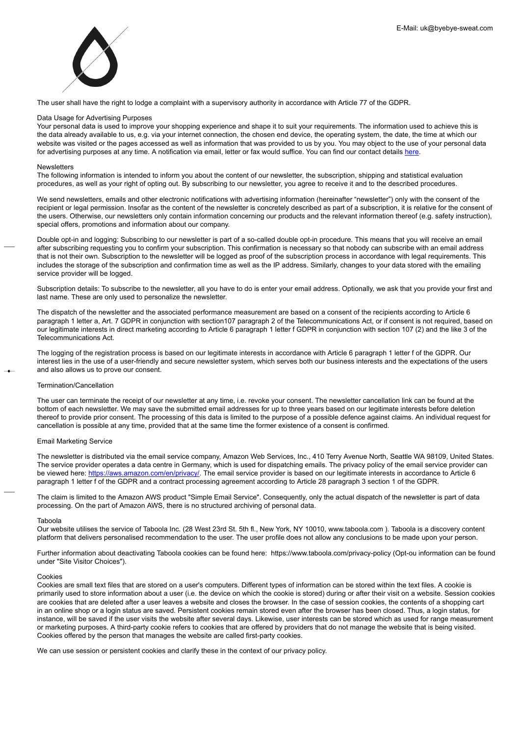

The user shall have the right to lodge a complaint with a supervisory authority in accordance with Article 77 of the GDPR.

## Data Usage for Advertising Purposes

Your personal data is used to improve your shopping experience and shape it to suit your requirements. The information used to achieve this is the data already available to us, e.g. via your internet connection, the chosen end device, the operating system, the date, the time at which our website was visited or the pages accessed as well as information that was provided to us by you. You may object to the use of your personal data for advertising purposes at any time. A notification via email, letter or fax would suffice. You can find our contact details [here](http://https://www.niemehrschwitzen.at/info/kontakt).

# Newsletters

The following information is intended to inform you about the content of our newsletter, the subscription, shipping and statistical evaluation procedures, as well as your right of opting out. By subscribing to our newsletter, you agree to receive it and to the described procedures.

We send newsletters, emails and other electronic notifications with advertising information (hereinafter "newsletter") only with the consent of the recipient or legal permission. Insofar as the content of the newsletter is concretely described as part of a subscription, it is relative for the consent of the users. Otherwise, our newsletters only contain information concerning our products and the relevant information thereof (e.g. safety instruction), special offers, promotions and information about our company.

Double opt-in and logging: Subscribing to our newsletter is part of a so-called double opt-in procedure. This means that you will receive an email after subscribing requesting you to confirm your subscription. This confirmation is necessary so that nobody can subscribe with an email address that is not their own. Subscription to the newsletter will be logged as proof of the subscription process in accordance with legal requirements. This includes the storage of the subscription and confirmation time as well as the IP address. Similarly, changes to your data stored with the emailing service provider will be logged.

Subscription details: To subscribe to the newsletter, all you have to do is enter your email address. Optionally, we ask that you provide your first and last name. These are only used to personalize the newsletter.

The dispatch of the newsletter and the associated performance measurement are based on a consent of the recipients according to Article 6 paragraph 1 letter a, Art. 7 GDPR in conjunction with section107 paragraph 2 of the Telecommunications Act, or if consent is not required, based on our legitimate interests in direct marketing according to Article 6 paragraph 1 letter f GDPR in conjunction with section 107 (2) and the like 3 of the Telecommunications Act.

The logging of the registration process is based on our legitimate interests in accordance with Article 6 paragraph 1 letter f of the GDPR. Our interest lies in the use of a user-friendly and secure newsletter system, which serves both our business interests and the expectations of the users and also allows us to prove our consent.

## Termination/Cancellation

The user can terminate the receipt of our newsletter at any time, i.e. revoke your consent. The newsletter cancellation link can be found at the bottom of each newsletter. We may save the submitted email addresses for up to three years based on our legitimate interests before deletion thereof to provide prior consent. The processing of this data is limited to the purpose of a possible defence against claims. An individual request for cancellation is possible at any time, provided that at the same time the former existence of a consent is confirmed.

## Email Marketing Service

The newsletter is distributed via the email service company, Amazon Web Services, Inc., 410 Terry Avenue North, Seattle WA 98109, United States. The service provider operates a data centre in Germany, which is used for dispatching emails. The privacy policy of the email service provider can be viewed here: [https://aws.amazon.com/en/privacy/](https://aws.amazon.com/privacy/?nc1=h_ls). The email service provider is based on our legitimate interests in accordance to Article 6 paragraph 1 letter f of the GDPR and a contract processing agreement according to Article 28 paragraph 3 section 1 of the GDPR.

The claim is limited to the Amazon AWS product "Simple Email Service". Consequently, only the actual dispatch of the newsletter is part of data processing. On the part of Amazon AWS, there is no structured archiving of personal data.

## Taboola

Our website utilises the service of Taboola Inc. (28 West 23rd St. 5th fl., New York, NY 10010, www.taboola.com ). Taboola is a discovery content platform that delivers personalised recommendation to the user. The user profile does not allow any conclusions to be made upon your person.

Further information about deactivating Taboola cookies can be found here: https://www.taboola.com/privacy-policy (Opt-ou information can be found under "Site Visitor Choices").

## Cookies

Cookies are small text files that are stored on a user's computers. Different types of information can be stored within the text files. A cookie is primarily used to store information about a user (i.e. the device on which the cookie is stored) during or after their visit on a website. Session cookies are cookies that are deleted after a user leaves a website and closes the browser. In the case of session cookies, the contents of a shopping cart in an online shop or a login status are saved. Persistent cookies remain stored even after the browser has been closed. Thus, a login status, for instance, will be saved if the user visits the website after several days. Likewise, user interests can be stored which as used for range measurement or marketing purposes. A third-party cookie refers to cookies that are offered by providers that do not manage the website that is being visited. Cookies offered by the person that manages the website are called first-party cookies.

We can use session or persistent cookies and clarify these in the context of our privacy policy.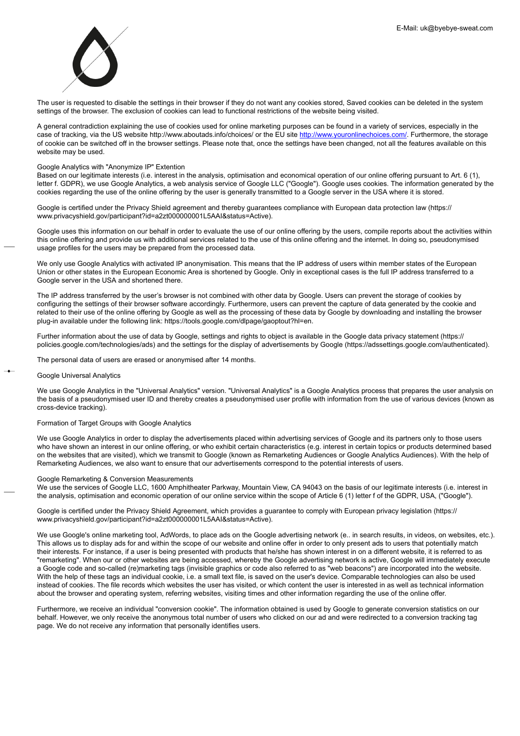

The user is requested to disable the settings in their browser if they do not want any cookies stored, Saved cookies can be deleted in the system settings of the browser. The exclusion of cookies can lead to functional restrictions of the website being visited.

A general contradiction explaining the use of cookies used for online marketing purposes can be found in a variety of services, especially in the case of tracking, via the US website http://www.aboutads.info/choices/ or the EU site [http://www.youronlinechoices.com/](https://www.youronlinechoices.com/). Furthermore, the storage of cookie can be switched off in the browser settings. Please note that, once the settings have been changed, not all the features available on this website may be used.

# Google Analytics with "Anonymize IP" Extention

Based on our legitimate interests (i.e. interest in the analysis, optimisation and economical operation of our online offering pursuant to Art. 6 (1), letter f. GDPR), we use Google Analytics, a web analysis service of Google LLC ("Google"). Google uses cookies. The information generated by the cookies regarding the use of the online offering by the user is generally transmitted to a Google server in the USA where it is stored.

Google is certified under the Privacy Shield agreement and thereby guarantees compliance with European data protection law (https:// www.privacyshield.gov/participant?id=a2zt000000001L5AAI&status=Active).

Google uses this information on our behalf in order to evaluate the use of our online offering by the users, compile reports about the activities within this online offering and provide us with additional services related to the use of this online offering and the internet. In doing so, pseudonymised usage profiles for the users may be prepared from the processed data.

We only use Google Analytics with activated IP anonymisation. This means that the IP address of users within member states of the European Union or other states in the European Economic Area is shortened by Google. Only in exceptional cases is the full IP address transferred to a Google server in the USA and shortened there.

The IP address transferred by the user's browser is not combined with other data by Google. Users can prevent the storage of cookies by configuring the settings of their browser software accordingly. Furthermore, users can prevent the capture of data generated by the cookie and related to their use of the online offering by Google as well as the processing of these data by Google by downloading and installing the browser plug-in available under the following link: https://tools.google.com/dlpage/gaoptout?hl=en.

Further information about the use of data by Google, settings and rights to object is available in the Google data privacy statement (https:// policies.google.com/technologies/ads) and the settings for the display of advertisements by Google (https://adssettings.google.com/authenticated).

The personal data of users are erased or anonymised after 14 months.

# Google Universal Analytics

We use Google Analytics in the "Universal Analytics" version. "Universal Analytics" is a Google Analytics process that prepares the user analysis on the basis of a pseudonymised user ID and thereby creates a pseudonymised user profile with information from the use of various devices (known as cross-device tracking).

## Formation of Target Groups with Google Analytics

We use Google Analytics in order to display the advertisements placed within advertising services of Google and its partners only to those users who have shown an interest in our online offering, or who exhibit certain characteristics (e.g. interest in certain topics or products determined based on the websites that are visited), which we transmit to Google (known as Remarketing Audiences or Google Analytics Audiences). With the help of Remarketing Audiences, we also want to ensure that our advertisements correspond to the potential interests of users.

## Google Remarketing & Conversion Measurements

We use the services of Google LLC, 1600 Amphitheater Parkway, Mountain View, CA 94043 on the basis of our legitimate interests (i.e. interest in the analysis, optimisation and economic operation of our online service within the scope of Article 6 (1) letter f of the GDPR, USA, ("Google").

Google is certified under the Privacy Shield Agreement, which provides a guarantee to comply with European privacy legislation (https:// www.privacyshield.gov/participant?id=a2zt000000001L5AAI&status=Active).

We use Google's online marketing tool, AdWords, to place ads on the Google advertising network (e.. in search results, in videos, on websites, etc.). This allows us to display ads for and within the scope of our website and online offer in order to only present ads to users that potentially match their interests. For instance, if a user is being presented with products that he/she has shown interest in on a different website, it is referred to as "remarketing". When our or other websites are being accessed, whereby the Google advertising network is active, Google will immediately execute a Google code and so-called (re)marketing tags (invisible graphics or code also referred to as "web beacons") are incorporated into the website. With the help of these tags an individual cookie, i.e. a small text file, is saved on the user's device. Comparable technologies can also be used instead of cookies. The file records which websites the user has visited, or which content the user is interested in as well as technical information about the browser and operating system, referring websites, visiting times and other information regarding the use of the online offer.

Furthermore, we receive an individual "conversion cookie". The information obtained is used by Google to generate conversion statistics on our behalf. However, we only receive the anonymous total number of users who clicked on our ad and were redirected to a conversion tracking tag page. We do not receive any information that personally identifies users.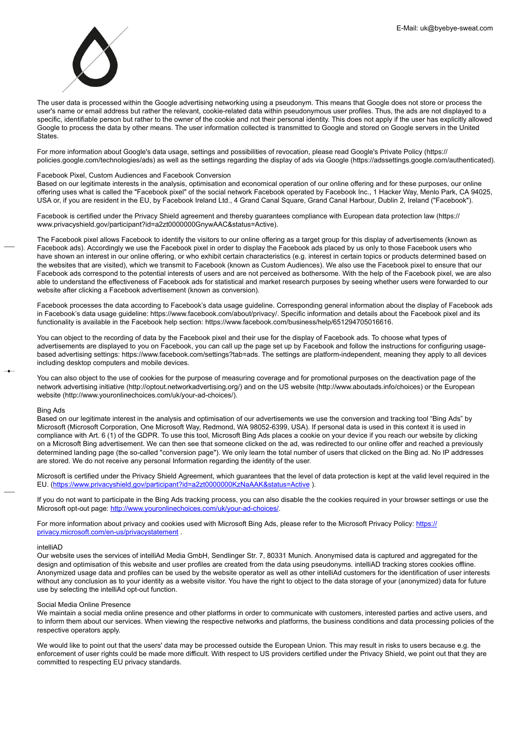

The user data is processed within the Google advertising networking using a pseudonym. This means that Google does not store or process the user's name or email address but rather the relevant, cookie-related data within pseudonymous user profiles. Thus, the ads are not displayed to a specific, identifiable person but rather to the owner of the cookie and not their personal identity. This does not apply if the user has explicitly allowed Google to process the data by other means. The user information collected is transmitted to Google and stored on Google servers in the United **States** 

For more information about Google's data usage, settings and possibilities of revocation, please read Google's Private Policy (https:// policies.google.com/technologies/ads) as well as the settings regarding the display of ads via Google (https://adssettings.google.com/authenticated).

## Facebook Pixel, Custom Audiences and Facebook Conversion

Based on our legitimate interests in the analysis, optimisation and economical operation of our online offering and for these purposes, our online offering uses what is called the "Facebook pixel" of the social network Facebook operated by Facebook Inc., 1 Hacker Way, Menlo Park, CA 94025, USA or, if you are resident in the EU, by Facebook Ireland Ltd., 4 Grand Canal Square, Grand Canal Harbour, Dublin 2, Ireland ("Facebook").

Facebook is certified under the Privacy Shield agreement and thereby guarantees compliance with European data protection law (https:// www.privacyshield.gov/participant?id=a2zt0000000GnywAAC&status=Active).

The Facebook pixel allows Facebook to identify the visitors to our online offering as a target group for this display of advertisements (known as Facebook ads). Accordingly we use the Facebook pixel in order to display the Facebook ads placed by us only to those Facebook users who have shown an interest in our online offering, or who exhibit certain characteristics (e.g. interest in certain topics or products determined based on the websites that are visited), which we transmit to Facebook (known as Custom Audiences). We also use the Facebook pixel to ensure that our Facebook ads correspond to the potential interests of users and are not perceived as bothersome. With the help of the Facebook pixel, we are also able to understand the effectiveness of Facebook ads for statistical and market research purposes by seeing whether users were forwarded to our website after clicking a Facebook advertisement (known as conversion).

Facebook processes the data according to Facebook's data usage guideline. Corresponding general information about the display of Facebook ads in Facebook's data usage guideline: https://www.facebook.com/about/privacy/. Specific information and details about the Facebook pixel and its functionality is available in the Facebook help section: https://www.facebook.com/business/help/651294705016616.

You can object to the recording of data by the Facebook pixel and their use for the display of Facebook ads. To choose what types of advertisements are displayed to you on Facebook, you can call up the page set up by Facebook and follow the instructions for configuring usagebased advertising settings: https://www.facebook.com/settings?tab=ads. The settings are platform-independent, meaning they apply to all devices including desktop computers and mobile devices.

You can also object to the use of cookies for the purpose of measuring coverage and for promotional purposes on the deactivation page of the network advertising initiative (http://optout.networkadvertising.org/) and on the US website (http://www.aboutads.info/choices) or the European website (http://www.youronlinechoices.com/uk/your-ad-choices/).

#### Bing Ads

Based on our legitimate interest in the analysis and optimisation of our advertisements we use the conversion and tracking tool "Bing Ads" by Microsoft (Microsoft Corporation, One Microsoft Way, Redmond, WA 98052-6399, USA). If personal data is used in this context it is used in compliance with Art. 6 (1) of the GDPR. To use this tool, Microsoft Bing Ads places a cookie on your device if you reach our website by clicking on a Microsoft Bing advertisement. We can then see that someone clicked on the ad, was redirected to our online offer and reached a previously determined landing page (the so-called "conversion page"). We only learn the total number of users that clicked on the Bing ad. No IP addresses are stored. We do not receive any personal Information regarding the identity of the user.

Microsoft is certified under the Privacy Shield Agreement, which guarantees that the level of data protection is kept at the valid level required in the EU. (<https://www.privacyshield.gov/participant?id=a2zt0000000KzNaAAK&status=Active> ).

If you do not want to participate in the Bing Ads tracking process, you can also disable the the cookies required in your browser settings or use the Microsoft opt-out page: [http://www.youronlinechoices.com/uk/your-ad-choices/.](http://www.youronlinechoices.com/uk/your-ad-choices/)

For more information about privacy and cookies used with Microsoft Bing Ads, please refer to the Microsoft Privacy Policy: [https://](https://privacy.microsoft.com/de-de/privacystatement) [privacy.microsoft.com/en-us/privacystatement](https://privacy.microsoft.com/de-de/privacystatement) .

#### intelliAD

Our website uses the services of intelliAd Media GmbH, Sendlinger Str. 7, 80331 Munich. Anonymised data is captured and aggregated for the design and optimisation of this website and user profiles are created from the data using pseudonyms. intelliAD tracking stores cookies offline. Anonymized usage data and profiles can be used by the website operator as well as other intelliAd customers for the identification of user interests without any conclusion as to your identity as a website visitor. You have the right to object to the data storage of your (anonymized) data for future use by selecting the intelliAd opt-out function.

## Social Media Online Presence

We maintain a social media online presence and other platforms in order to communicate with customers, interested parties and active users, and to inform them about our services. When viewing the respective networks and platforms, the business conditions and data processing policies of the respective operators apply.

We would like to point out that the users' data may be processed outside the European Union. This may result in risks to users because e.g. the enforcement of user rights could be made more difficult. With respect to US providers certified under the Privacy Shield, we point out that they are committed to respecting EU privacy standards.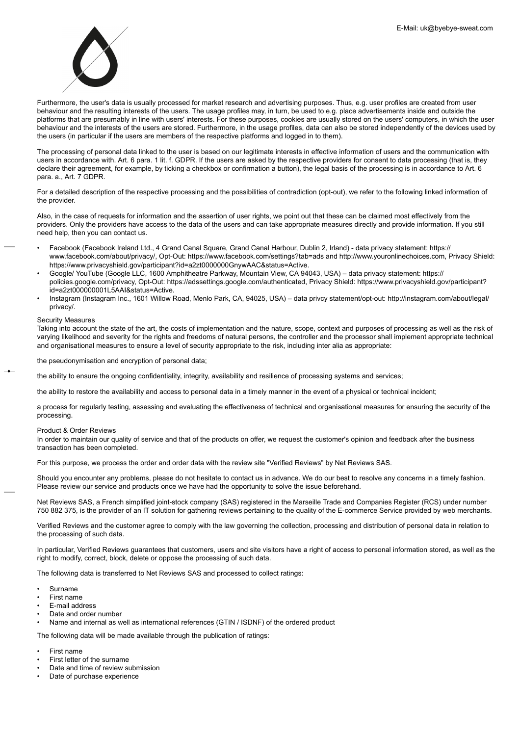

Furthermore, the user's data is usually processed for market research and advertising purposes. Thus, e.g. user profiles are created from user behaviour and the resulting interests of the users. The usage profiles may, in turn, be used to e.g. place advertisements inside and outside the platforms that are presumably in line with users' interests. For these purposes, cookies are usually stored on the users' computers, in which the user behaviour and the interests of the users are stored. Furthermore, in the usage profiles, data can also be stored independently of the devices used by the users (in particular if the users are members of the respective platforms and logged in to them).

The processing of personal data linked to the user is based on our legitimate interests in effective information of users and the communication with users in accordance with. Art. 6 para. 1 lit. f. GDPR. If the users are asked by the respective providers for consent to data processing (that is, they declare their agreement, for example, by ticking a checkbox or confirmation a button), the legal basis of the processing is in accordance to Art. 6 para. a., Art. 7 GDPR.

For a detailed description of the respective processing and the possibilities of contradiction (opt-out), we refer to the following linked information of the provider.

Also, in the case of requests for information and the assertion of user rights, we point out that these can be claimed most effectively from the providers. Only the providers have access to the data of the users and can take appropriate measures directly and provide information. If you still need help, then you can contact us.

- Facebook (Facebook Ireland Ltd., 4 Grand Canal Square, Grand Canal Harbour, Dublin 2, Irland) data privacy statement: https:// www.facebook.com/about/privacy/, Opt-Out: https://www.facebook.com/settings?tab=ads and http://www.youronlinechoices.com, Privacy Shield: https://www.privacyshield.gov/participant?id=a2zt0000000GnywAAC&status=Active.
- Google/ YouTube (Google LLC, 1600 Amphitheatre Parkway, Mountain View, CA 94043, USA) data privacy statement: https:// policies.google.com/privacy, Opt-Out: https://adssettings.google.com/authenticated, Privacy Shield: https://www.privacyshield.gov/participant? id=a2zt000000001L5AAI&status=Active.
- Instagram (Instagram Inc., 1601 Willow Road, Menlo Park, CA, 94025, USA) data privcy statement/opt-out: http://instagram.com/about/legal/ privacy/.

## Security Measures

Taking into account the state of the art, the costs of implementation and the nature, scope, context and purposes of processing as well as the risk of varying likelihood and severity for the rights and freedoms of natural persons, the controller and the processor shall implement appropriate technical and organisational measures to ensure a level of security appropriate to the risk, including inter alia as appropriate:

the pseudonymisation and encryption of personal data;

the ability to ensure the ongoing confidentiality, integrity, availability and resilience of processing systems and services;

the ability to restore the availability and access to personal data in a timely manner in the event of a physical or technical incident;

a process for regularly testing, assessing and evaluating the effectiveness of technical and organisational measures for ensuring the security of the processing.

## Product & Order Reviews

In order to maintain our quality of service and that of the products on offer, we request the customer's opinion and feedback after the business transaction has been completed.

For this purpose, we process the order and order data with the review site "Verified Reviews" by Net Reviews SAS.

Should you encounter any problems, please do not hesitate to contact us in advance. We do our best to resolve any concerns in a timely fashion. Please review our service and products once we have had the opportunity to solve the issue beforehand.

Net Reviews SAS, a French simplified joint-stock company (SAS) registered in the Marseille Trade and Companies Register (RCS) under number 750 882 375, is the provider of an IT solution for gathering reviews pertaining to the quality of the E-commerce Service provided by web merchants.

Verified Reviews and the customer agree to comply with the law governing the collection, processing and distribution of personal data in relation to the processing of such data.

In particular, Verified Reviews guarantees that customers, users and site visitors have a right of access to personal information stored, as well as the right to modify, correct, block, delete or oppose the processing of such data.

The following data is transferred to Net Reviews SAS and processed to collect ratings:

- Surname
- First name
- E-mail address
- Date and order number
- Name and internal as well as international references (GTIN / ISDNF) of the ordered product

The following data will be made available through the publication of ratings:

- First name
- First letter of the surname
- Date and time of review submission
- Date of purchase experience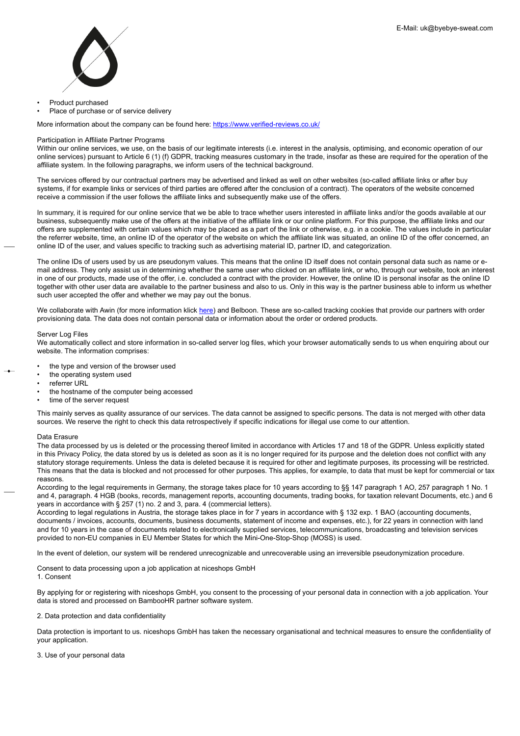

- Product purchased
- Place of purchase or of service delivery

More information about the company can be found here: <https://www.verified-reviews.co.uk/>

### Participation in Affiliate Partner Programs

Within our online services, we use, on the basis of our legitimate interests (i.e. interest in the analysis, optimising, and economic operation of our online services) pursuant to Article 6 (1) (f) GDPR, tracking measures customary in the trade, insofar as these are required for the operation of the affiliate system. In the following paragraphs, we inform users of the technical background.

The services offered by our contractual partners may be advertised and linked as well on other websites (so-called affiliate links or after buy systems, if for example links or services of third parties are offered after the conclusion of a contract). The operators of the website concerned receive a commission if the user follows the affiliate links and subsequently make use of the offers.

In summary, it is required for our online service that we be able to trace whether users interested in affiliate links and/or the goods available at our business, subsequently make use of the offers at the initiative of the affiliate link or our online platform. For this purpose, the affiliate links and our offers are supplemented with certain values which may be placed as a part of the link or otherwise, e.g. in a cookie. The values include in particular the referrer website, time, an online ID of the operator of the website on which the affiliate link was situated, an online ID of the offer concerned, an online ID of the user, and values specific to tracking such as advertising material ID, partner ID, and categorization.

The online IDs of users used by us are pseudonym values. This means that the online ID itself does not contain personal data such as name or email address. They only assist us in determining whether the same user who clicked on an affiliate link, or who, through our website, took an interest in one of our products, made use of the offer, i.e. concluded a contract with the provider. However, the online ID is personal insofar as the online ID together with other user data are available to the partner business and also to us. Only in this way is the partner business able to inform us whether such user accepted the offer and whether we may pay out the bonus.

We collaborate with Awin (for more information klick [here\)](#page-0-0) and Belboon. These are so-called tracking cookies that provide our partners with order provisioning data. The data does not contain personal data or information about the order or ordered products.

#### Server Log Files

We automatically collect and store information in so-called server log files, which your browser automatically sends to us when enquiring about our website. The information comprises:

- the type and version of the browser used
- the operating system used
- referrer URL
- the hostname of the computer being accessed
- time of the server request

This mainly serves as quality assurance of our services. The data cannot be assigned to specific persons. The data is not merged with other data sources. We reserve the right to check this data retrospectively if specific indications for illegal use come to our attention.

## Data Erasure

The data processed by us is deleted or the processing thereof limited in accordance with Articles 17 and 18 of the GDPR. Unless explicitly stated in this Privacy Policy, the data stored by us is deleted as soon as it is no longer required for its purpose and the deletion does not conflict with any statutory storage requirements. Unless the data is deleted because it is required for other and legitimate purposes, its processing will be restricted. This means that the data is blocked and not processed for other purposes. This applies, for example, to data that must be kept for commercial or tax reasons.

According to the legal requirements in Germany, the storage takes place for 10 years according to §§ 147 paragraph 1 AO, 257 paragraph 1 No. 1 and 4, paragraph. 4 HGB (books, records, management reports, accounting documents, trading books, for taxation relevant Documents, etc.) and 6 years in accordance with § 257 (1) no. 2 and 3, para. 4 (commercial letters).

According to legal regulations in Austria, the storage takes place in for 7 years in accordance with § 132 exp. 1 BAO (accounting documents, documents / invoices, accounts, documents, business documents, statement of income and expenses, etc.), for 22 years in connection with land and for 10 years in the case of documents related to electronically supplied services, telecommunications, broadcasting and television services provided to non-EU companies in EU Member States for which the Mini-One-Stop-Shop (MOSS) is used.

In the event of deletion, our system will be rendered unrecognizable and unrecoverable using an irreversible pseudonymization procedure.

Consent to data processing upon a job application at niceshops GmbH 1. Consent

By applying for or registering with niceshops GmbH, you consent to the processing of your personal data in connection with a job application. Your data is stored and processed on BambooHR partner software system.

2. Data protection and data confidentiality

Data protection is important to us. niceshops GmbH has taken the necessary organisational and technical measures to ensure the confidentiality of your application.

3. Use of your personal data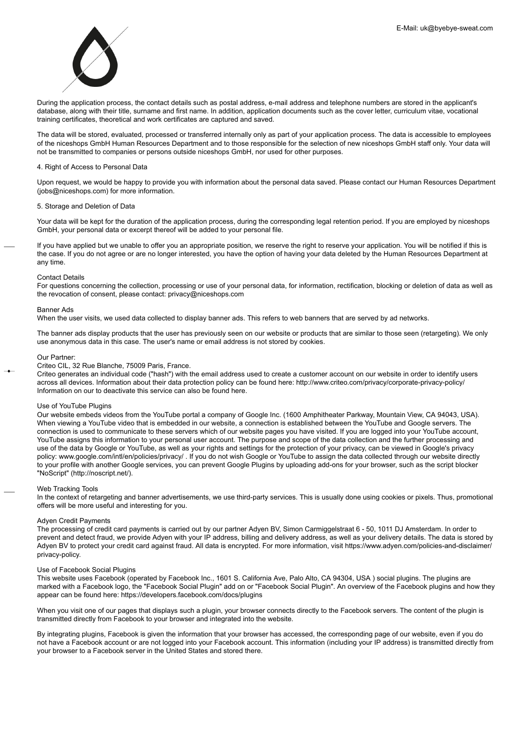

During the application process, the contact details such as postal address, e-mail address and telephone numbers are stored in the applicant's database, along with their title, surname and first name. In addition, application documents such as the cover letter, curriculum vitae, vocational training certificates, theoretical and work certificates are captured and saved.

The data will be stored, evaluated, processed or transferred internally only as part of your application process. The data is accessible to employees of the niceshops GmbH Human Resources Department and to those responsible for the selection of new niceshops GmbH staff only. Your data will not be transmitted to companies or persons outside niceshops GmbH, nor used for other purposes.

# 4. Right of Access to Personal Data

Upon request, we would be happy to provide you with information about the personal data saved. Please contact our Human Resources Department (jobs@niceshops.com) for more information.

# 5. Storage and Deletion of Data

Your data will be kept for the duration of the application process, during the corresponding legal retention period. If you are employed by niceshops GmbH, your personal data or excerpt thereof will be added to your personal file.

If you have applied but we unable to offer you an appropriate position, we reserve the right to reserve your application. You will be notified if this is the case. If you do not agree or are no longer interested, you have the option of having your data deleted by the Human Resources Department at any time.

#### Contact Details

For questions concerning the collection, processing or use of your personal data, for information, rectification, blocking or deletion of data as well as the revocation of consent, please contact: privacy@niceshops.com

## Banner Ads

When the user visits, we used data collected to display banner ads. This refers to web banners that are served by ad networks.

The banner ads display products that the user has previously seen on our website or products that are similar to those seen (retargeting). We only use anonymous data in this case. The user's name or email address is not stored by cookies.

#### Our Partner:

Criteo CIL, 32 Rue Blanche, 75009 Paris, France.

Criteo generates an individual code ("hash") with the email address used to create a customer account on our website in order to identify users across all devices. Information about their data protection policy can be found here: http://www.criteo.com/privacy/corporate-privacy-policy/ Information on our to deactivate this service can also be found here.

## Use of YouTube Plugins

Our website embeds videos from the YouTube portal a company of Google Inc. (1600 Amphitheater Parkway, Mountain View, CA 94043, USA). When viewing a YouTube video that is embedded in our website, a connection is established between the YouTube and Google servers. The connection is used to communicate to these servers which of our website pages you have visited. If you are logged into your YouTube account, YouTube assigns this information to your personal user account. The purpose and scope of the data collection and the further processing and use of the data by Google or YouTube, as well as your rights and settings for the protection of your privacy, can be viewed in Google's privacy policy: www.google.com/intl/en/policies/privacy/ . If you do not wish Google or YouTube to assign the data collected through our website directly to your profile with another Google services, you can prevent Google Plugins by uploading add-ons for your browser, such as the script blocker "NoScript" (http://noscript.net/).

#### Web Tracking Tools

In the context of retargeting and banner advertisements, we use third-party services. This is usually done using cookies or pixels. Thus, promotional offers will be more useful and interesting for you.

# Adyen Credit Payments

The processing of credit card payments is carried out by our partner Adyen BV, Simon Carmiggelstraat 6 - 50, 1011 DJ Amsterdam. In order to prevent and detect fraud, we provide Adyen with your IP address, billing and delivery address, as well as your delivery details. The data is stored by Adyen BV to protect your credit card against fraud. All data is encrypted. For more information, visit https://www.adyen.com/policies-and-disclaimer/ privacy-policy.

## Use of Facebook Social Plugins

This website uses Facebook (operated by Facebook Inc., 1601 S. California Ave, Palo Alto, CA 94304, USA ) social plugins. The plugins are marked with a Facebook logo, the "Facebook Social Plugin" add on or "Facebook Social Plugin". An overview of the Facebook plugins and how they appear can be found here: https://developers.facebook.com/docs/plugins

When you visit one of our pages that displays such a plugin, your browser connects directly to the Facebook servers. The content of the plugin is transmitted directly from Facebook to your browser and integrated into the website.

By integrating plugins, Facebook is given the information that your browser has accessed, the corresponding page of our website, even if you do not have a Facebook account or are not logged into your Facebook account. This information (including your IP address) is transmitted directly from your browser to a Facebook server in the United States and stored there.